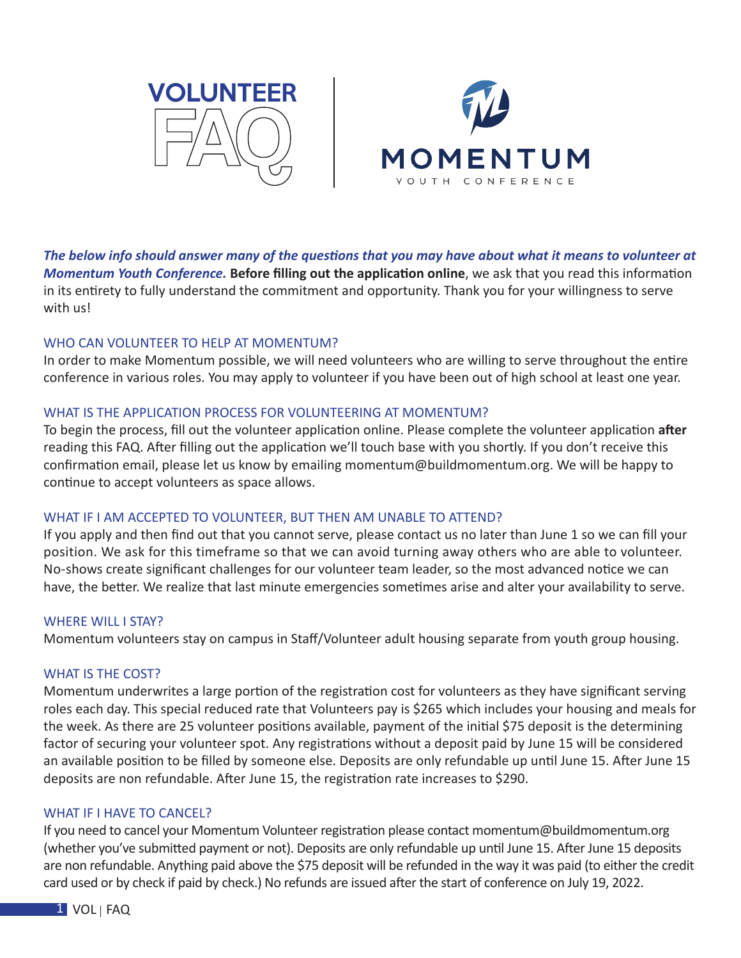



*The below info should answer many of the questions that you may have about what it means to volunteer at Momentum Youth Conference.* **Before filling out the application online**, we ask that you read this information in its entirety to fully understand the commitment and opportunity. Thank you for your willingness to serve with us!

## WHO CAN VOLUNTEER TO HELP AT MOMENTUM?

In order to make Momentum possible, we will need volunteers who are willing to serve throughout the entire conference in various roles. You may apply to volunteer if you have been out of high school at least one year.

## WHAT IS THE APPLICATION PROCESS FOR VOLUNTEERING AT MOMENTUM?

To begin the process, fill out the volunteer application online. Please complete the volunteer application **after** reading this FAQ. After filling out the application we'll touch base with you shortly. If you don't receive this confirmation email, please let us know by emailing momentum@buildmomentum.org. We will be happy to continue to accept volunteers as space allows.

## WHAT IF I AM ACCEPTED TO VOLUNTEER, BUT THEN AM UNABLE TO ATTEND?

If you apply and then find out that you cannot serve, please contact us no later than June 1 so we can fill your position. We ask for this timeframe so that we can avoid turning away others who are able to volunteer. No-shows create significant challenges for our volunteer team leader, so the most advanced notice we can have, the better. We realize that last minute emergencies sometimes arise and alter your availability to serve.

## WHERE WILL I STAY?

Momentum volunteers stay on campus in Staff/Volunteer adult housing separate from youth group housing.

## WHAT IS THE COST?

Momentum underwrites a large portion of the registration cost for volunteers as they have significant serving roles each day. This special reduced rate that Volunteers pay is \$265 which includes your housing and meals for the week. As there are 25 volunteer positions available, payment of the initial \$75 deposit is the determining factor of securing your volunteer spot. Any registrations without a deposit paid by June 15 will be considered an available position to be filled by someone else. Deposits are only refundable up until June 15. After June 15 deposits are non refundable. After June 15, the registration rate increases to \$290.

## WHAT IF I HAVE TO CANCEL?

If you need to cancel your Momentum Volunteer registration please contact momentum@buildmomentum.org (whether you've submitted payment or not). Deposits are only refundable up until June 15. After June 15 deposits are non refundable. Anything paid above the \$75 deposit will be refunded in the way it was paid (to either the credit card used or by check if paid by check.) No refunds are issued after the start of conference on July 19, 2022.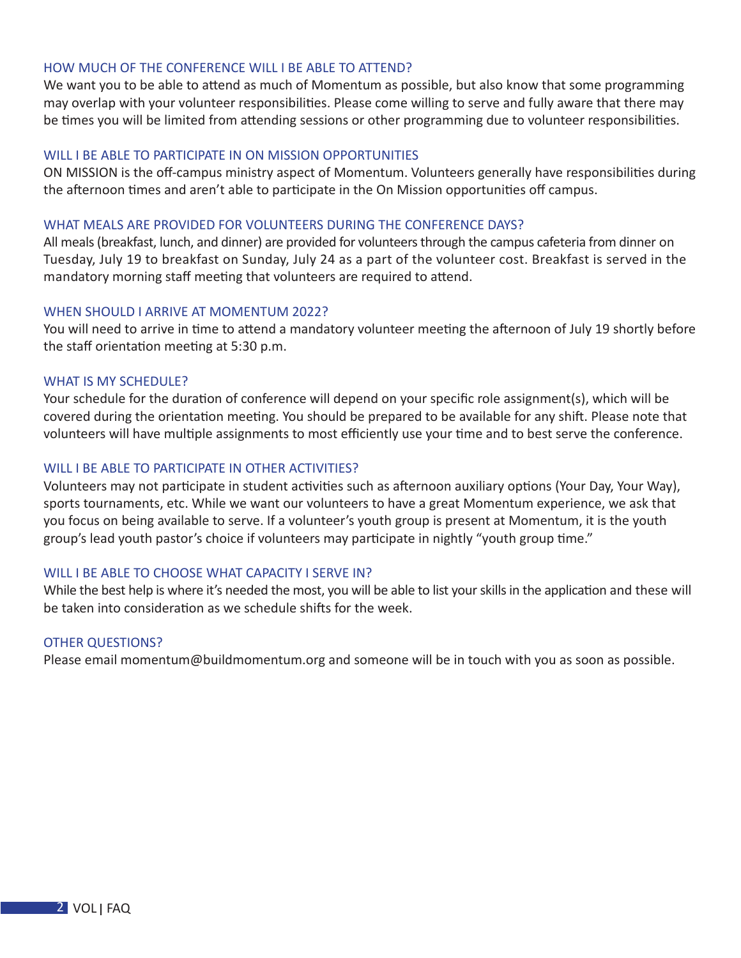### HOW MUCH OF THE CONFERENCE WILL I BE ABLE TO ATTEND?

We want you to be able to attend as much of Momentum as possible, but also know that some programming may overlap with your volunteer responsibilities. Please come willing to serve and fully aware that there may be times you will be limited from attending sessions or other programming due to volunteer responsibilities.

#### WILL I BE ABLE TO PARTICIPATE IN ON MISSION OPPORTUNITIES

ON MISSION is the off-campus ministry aspect of Momentum. Volunteers generally have responsibilities during the afternoon times and aren't able to participate in the On Mission opportunities off campus.

#### WHAT MEALS ARE PROVIDED FOR VOLUNTEERS DURING THE CONFERENCE DAYS?

All meals (breakfast, lunch, and dinner) are provided for volunteers through the campus cafeteria from dinner on Tuesday, July 19 to breakfast on Sunday, July 24 as a part of the volunteer cost. Breakfast is served in the mandatory morning staff meeting that volunteers are required to attend.

### WHEN SHOULD I ARRIVE AT MOMENTUM 2022?

You will need to arrive in time to attend a mandatory volunteer meeting the afternoon of July 19 shortly before the staff orientation meeting at 5:30 p.m.

#### WHAT IS MY SCHEDULE?

Your schedule for the duration of conference will depend on your specific role assignment(s), which will be covered during the orientation meeting. You should be prepared to be available for any shift. Please note that volunteers will have multiple assignments to most efficiently use your time and to best serve the conference.

# WILL I BE ABLE TO PARTICIPATE IN OTHER ACTIVITIES?

Volunteers may not participate in student activities such as afternoon auxiliary options (Your Day, Your Way), sports tournaments, etc. While we want our volunteers to have a great Momentum experience, we ask that you focus on being available to serve. If a volunteer's youth group is present at Momentum, it is the youth group's lead youth pastor's choice if volunteers may participate in nightly "youth group time."

#### WILL I BE ABLE TO CHOOSE WHAT CAPACITY I SERVE IN?

While the best help is where it's needed the most, you will be able to list your skills in the application and these will be taken into consideration as we schedule shifts for the week.

#### OTHER QUESTIONS?

Please email momentum@buildmomentum.org and someone will be in touch with you as soon as possible.